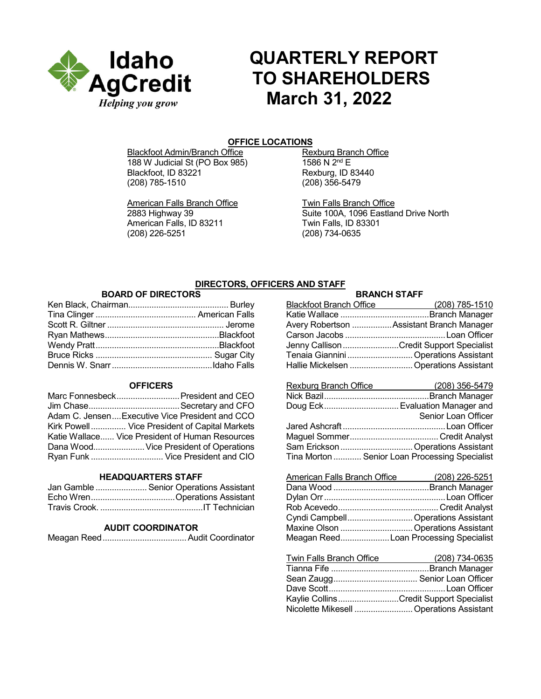

# **QUARTERLY REPORT TO SHAREHOLDERS March 31, 2022**

# **OFFICE LOCATIONS**

Blackfoot Admin/Branch Office<br>
188 W Judicial St (PO Box 985) 1586 N 2<sup>nd</sup> E 188 W Judicial St (PO Box 985)<br>Blackfoot. ID 83221 Blackfoot, ID 83221 Rexburg, ID 83440<br>(208) 785-1510 (208) 356-5479

American Falls Branch Office<br>
2883 Highway 39 **TWIN Suite 100A**, 1096 Eastlar American Falls, ID 83211<br>(208) 226-5251

(208) 356-5479

Suite 100A, 1096 Eastland Drive North Twin Falls, ID 83301 (208) 734-0635

# **DIRECTORS, OFFICERS AND STAFF**

# **BOARD OF DIRECTORS**

# **OFFICERS**

| Marc Fonnesbeck President and CEO               |
|-------------------------------------------------|
|                                                 |
| Adam C. JensenExecutive Vice President and CCO  |
| Kirk Powell Vice President of Capital Markets   |
| Katie Wallace Vice President of Human Resources |
| Dana Wood Vice President of Operations          |
| Ryan Funk  Vice President and CIO               |

#### **HEADQUARTERS STAFF**

| Jan Gamble  Senior Operations Assistant |
|-----------------------------------------|
|                                         |
|                                         |

## **AUDIT COORDINATOR**

Meagan Reed....................................Audit Coordinator

# **BRANCH STAFF**

| -------------                            |
|------------------------------------------|
| $(208)$ 785-1510                         |
|                                          |
| Avery Robertson Assistant Branch Manager |
|                                          |
| Jenny Callison Credit Support Specialist |
| Tenaia Giannini  Operations Assistant    |
| Hallie Mickelsen  Operations Assistant   |
|                                          |

| Rexburg Branch Office | (208) 356-5479                                 |
|-----------------------|------------------------------------------------|
|                       |                                                |
|                       | Doug Eck Evaluation Manager and                |
|                       | Senior Loan Officer                            |
|                       |                                                |
|                       |                                                |
|                       | Sam Erickson  Operations Assistant             |
|                       | Tina Morton  Senior Loan Processing Specialist |
|                       |                                                |

| <b>American Falls Branch Office</b> | $(208)$ 226-5251                      |
|-------------------------------------|---------------------------------------|
|                                     |                                       |
|                                     |                                       |
|                                     |                                       |
|                                     | Cyndi Campbell Operations Assistant   |
|                                     | Maxine Olson  Operations Assistant    |
|                                     | Meagan ReedLoan Processing Specialist |

| Twin Falls Branch Office                 | (208) 734-0635 |
|------------------------------------------|----------------|
|                                          |                |
|                                          |                |
|                                          |                |
| Kaylie CollinsCredit Support Specialist  |                |
| Nicolette Mikesell  Operations Assistant |                |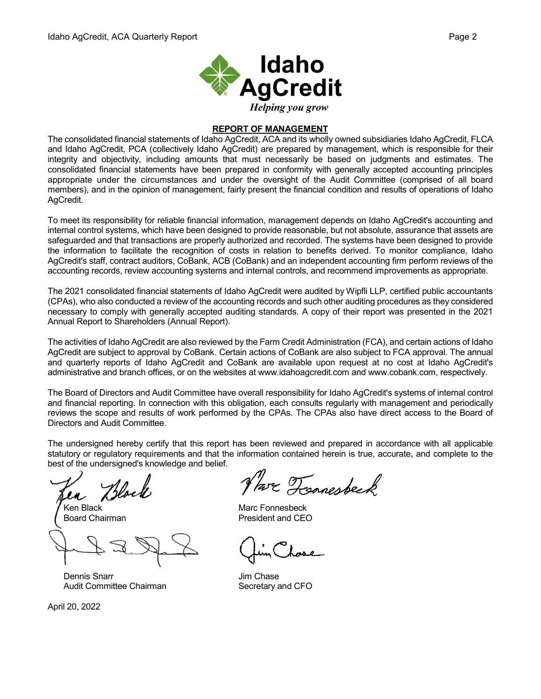

# **REPORT OF MANAGEMENT**

The consolidated financial statements of Idaho AgCredit, ACA and its wholly owned subsidiaries Idaho AgCredit, FLCA and Idaho AgCredit, PCA (collectively Idaho AgCredit) are prepared by management, which is responsible for their integrity and objectivity, including amounts that must necessarily be based on judgments and estimates. The consolidated financial statements have been prepared in conformity with generally accepted accounting principles appropriate under the circumstances and under the oversight of the Audit Committee (comprised of all board members), and in the opinion of management, fairly present the financial condition and results of operations of Idaho AgCredit.

To meet its responsibility for reliable financial information, management depends on Idaho AgCredit's accounting and internal control systems, which have been designed to provide reasonable, but not absolute, assurance that assets are safeguarded and that transactions are properly authorized and recorded. The systems have been designed to provide the information to facilitate the recognition of costs in relation to benefits derived. To monitor compliance, Idaho AgCredit's staff, contract auditors, CoBank, ACB (CoBank) and an independent accounting firm perform reviews of the accounting records, review accounting systems and internal controls, and recommend improvements as appropriate.

The 2021 consolidated financial statements of Idaho AgCredit were audited by Wipfli LLP, certified public accountants (CPAs), who also conducted a review of the accounting records and such other auditing procedures as they considered necessary to comply with generally accepted auditing standards. A copy of their report was presented in the 2021 Annual Report to Shareholders (Annual Report).

The activities of Idaho AgCredit are also reviewed by the Farm Credit Administration (FCA), and certain actions of Idaho AgCredit are subject to approval by CoBank. Certain actions of CoBank are also subject to FCA approval. The annual and quarterly reports of Idaho AgCredit and CoBank are available upon request at no cost at Idaho AgCredit's administrative and branch offices, or on the websites at www.idahoagcredit.com and www.cobank.com, respectively.

The Board of Directors and Audit Committee have overall responsibility for Idaho AgCredit's systems of internal control and financial reporting. In connection with this obligation, each consults regularly with management and periodically reviews the scope and results of work performed by the CPAs. The CPAs also have direct access to the Board of Directors and Audit Committee.

The undersigned hereby certify that this report has been reviewed and prepared in accordance with all applicable statutory or regulatory requirements and that the information contained herein is true, accurate, and complete to the best of the undersigned's knowledge and belief.

Tress

Dennis Snarr **Dennis Snarr** Jim Chase Audit Committee Chairman Secretary and CFO

April 20, 2022

Par Ternesbeck

Ken Black Marc Fonnesbeck Board Chairman **President** and CEO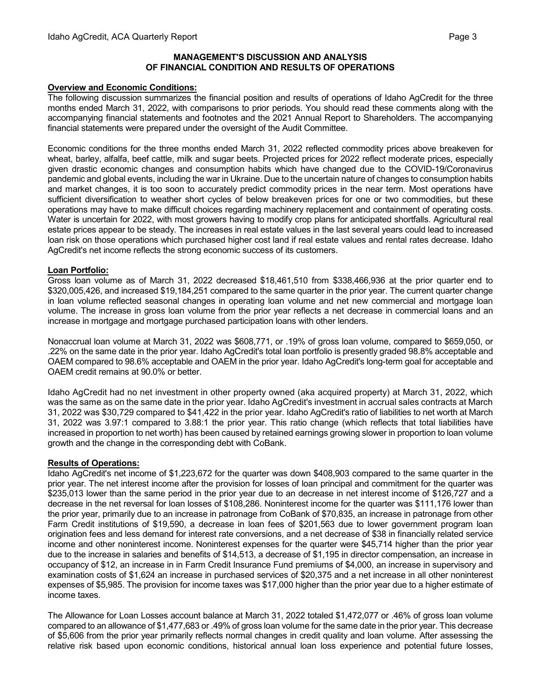#### **MANAGEMENT'S DISCUSSION AND ANALYSIS OF FINANCIAL CONDITION AND RESULTS OF OPERATIONS**

## **Overview and Economic Conditions:**

The following discussion summarizes the financial position and results of operations of Idaho AgCredit for the three months ended March 31, 2022, with comparisons to prior periods. You should read these comments along with the accompanying financial statements and footnotes and the 2021 Annual Report to Shareholders. The accompanying financial statements were prepared under the oversight of the Audit Committee.

Economic conditions for the three months ended March 31, 2022 reflected commodity prices above breakeven for wheat, barley, alfalfa, beef cattle, milk and sugar beets. Projected prices for 2022 reflect moderate prices, especially given drastic economic changes and consumption habits which have changed due to the COVID-19/Coronavirus pandemic and global events, including the war in Ukraine. Due to the uncertain nature of changes to consumption habits and market changes, it is too soon to accurately predict commodity prices in the near term. Most operations have sufficient diversification to weather short cycles of below breakeven prices for one or two commodities, but these operations may have to make difficult choices regarding machinery replacement and containment of operating costs. Water is uncertain for 2022, with most growers having to modify crop plans for anticipated shortfalls. Agricultural real estate prices appear to be steady. The increases in real estate values in the last several years could lead to increased loan risk on those operations which purchased higher cost land if real estate values and rental rates decrease. Idaho AgCredit's net income reflects the strong economic success of its customers.

#### **Loan Portfolio:**

Gross loan volume as of March 31, 2022 decreased \$18,461,510 from \$338,466,936 at the prior quarter end to \$320,005,426, and increased \$19,184,251 compared to the same quarter in the prior year. The current quarter change in loan volume reflected seasonal changes in operating loan volume and net new commercial and mortgage loan volume. The increase in gross loan volume from the prior year reflects a net decrease in commercial loans and an increase in mortgage and mortgage purchased participation loans with other lenders.

Nonaccrual loan volume at March 31, 2022 was \$608,771, or .19% of gross loan volume, compared to \$659,050, or .22% on the same date in the prior year. Idaho AgCredit's total loan portfolio is presently graded 98.8% acceptable and OAEM compared to 98.6% acceptable and OAEM in the prior year. Idaho AgCredit's long-term goal for acceptable and OAEM credit remains at 90.0% or better.

Idaho AgCredit had no net investment in other property owned (aka acquired property) at March 31, 2022, which was the same as on the same date in the prior year. Idaho AgCredit's investment in accrual sales contracts at March 31, 2022 was \$30,729 compared to \$41,422 in the prior year. Idaho AgCredit's ratio of liabilities to net worth at March 31, 2022 was 3.97:1 compared to 3.88:1 the prior year. This ratio change (which reflects that total liabilities have increased in proportion to net worth) has been caused by retained earnings growing slower in proportion to loan volume growth and the change in the corresponding debt with CoBank.

## **Results of Operations:**

Idaho AgCredit's net income of \$1,223,672 for the quarter was down \$408,903 compared to the same quarter in the prior year. The net interest income after the provision for losses of loan principal and commitment for the quarter was \$235,013 lower than the same period in the prior year due to an decrease in net interest income of \$126,727 and a decrease in the net reversal for loan losses of \$108,286. Noninterest income for the quarter was \$111,176 lower than the prior year, primarily due to an increase in patronage from CoBank of \$70,835, an increase in patronage from other Farm Credit institutions of \$19,590, a decrease in loan fees of \$201,563 due to lower government program loan origination fees and less demand for interest rate conversions, and a net decrease of \$38 in financially related service income and other noninterest income. Noninterest expenses for the quarter were \$45,714 higher than the prior year due to the increase in salaries and benefits of \$14,513, a decrease of \$1,195 in director compensation, an increase in occupancy of \$12, an increase in in Farm Credit Insurance Fund premiums of \$4,000, an increase in supervisory and examination costs of \$1,624 an increase in purchased services of \$20,375 and a net increase in all other noninterest expenses of \$5,985. The provision for income taxes was \$17,000 higher than the prior year due to a higher estimate of income taxes.

The Allowance for Loan Losses account balance at March 31, 2022 totaled \$1,472,077 or .46% of gross loan volume compared to an allowance of \$1,477,683 or .49% of gross loan volume for the same date in the prior year. This decrease of \$5,606 from the prior year primarily reflects normal changes in credit quality and loan volume. After assessing the relative risk based upon economic conditions, historical annual loan loss experience and potential future losses,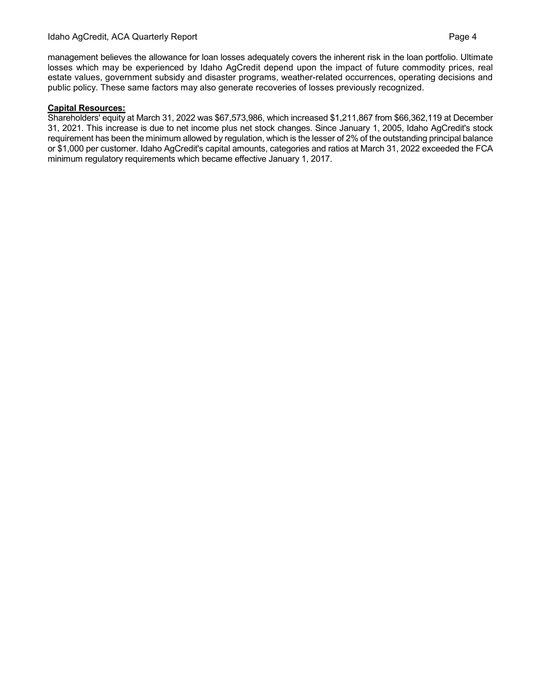management believes the allowance for loan losses adequately covers the inherent risk in the loan portfolio. Ultimate losses which may be experienced by Idaho AgCredit depend upon the impact of future commodity prices, real estate values, government subsidy and disaster programs, weather-related occurrences, operating decisions and public policy. These same factors may also generate recoveries of losses previously recognized.

# **Capital Resources:**

Shareholders' equity at March 31, 2022 was \$67,573,986, which increased \$1,211,867 from \$66,362,119 at December 31, 2021. This increase is due to net income plus net stock changes. Since January 1, 2005, Idaho AgCredit's stock requirement has been the minimum allowed by regulation, which is the lesser of 2% of the outstanding principal balance or \$1,000 per customer. Idaho AgCredit's capital amounts, categories and ratios at March 31, 2022 exceeded the FCA minimum regulatory requirements which became effective January 1, 2017.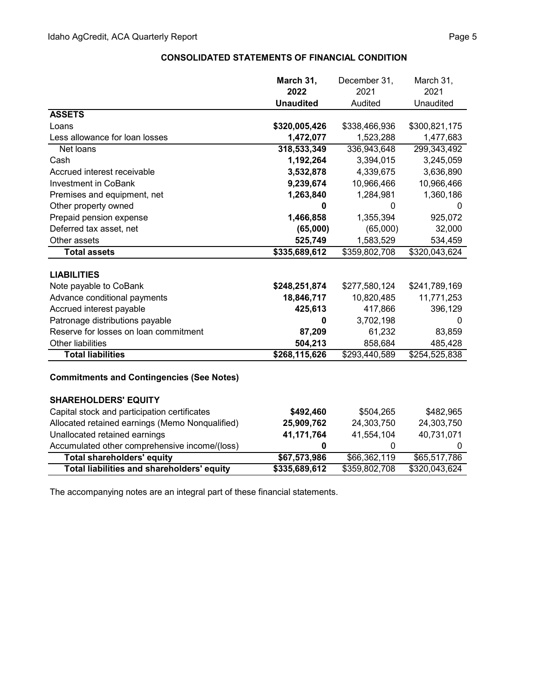|                                       | March 31,                 | December 31,  | March 31,     |
|---------------------------------------|---------------------------|---------------|---------------|
|                                       | 2022                      | 2021          | 2021          |
|                                       | <b>Unaudited</b>          | Audited       | Unaudited     |
| <b>ASSETS</b>                         |                           |               |               |
| Loans                                 | \$320,005,426             | \$338,466,936 | \$300,821,175 |
| Less allowance for loan losses        | 1,472,077                 | 1,523,288     | 1,477,683     |
| Net loans                             | 318,533,349               | 336,943,648   | 299,343,492   |
| Cash                                  | 1,192,264                 | 3,394,015     | 3,245,059     |
| Accrued interest receivable           | 3,532,878                 | 4,339,675     | 3,636,890     |
| <b>Investment in CoBank</b>           | 9,239,674                 | 10,966,466    | 10,966,466    |
| Premises and equipment, net           | 1,263,840                 | 1,284,981     | 1,360,186     |
| Other property owned                  | 0                         | 0             | 0             |
| Prepaid pension expense               | 1,466,858                 | 1,355,394     | 925,072       |
| Deferred tax asset, net               | (65,000)                  | (65,000)      | 32,000        |
| Other assets                          | 525,749                   | 1,583,529     | 534,459       |
| <b>Total assets</b>                   | $\overline{$335,689,612}$ | \$359,802,708 | \$320,043,624 |
| <b>LIABILITIES</b>                    |                           |               |               |
| Note payable to CoBank                | \$248,251,874             | \$277,580,124 | \$241,789,169 |
| Advance conditional payments          | 18,846,717                | 10,820,485    | 11,771,253    |
| Accrued interest payable              | 425,613                   | 417,866       | 396,129       |
| Patronage distributions payable       | 0                         | 3,702,198     | 0             |
| Reserve for losses on loan commitment | 87,209                    | 61,232        | 83,859        |
| <b>Other liabilities</b>              | 504,213                   | 858,684       | 485,428       |
| <b>Total liabilities</b>              | \$268,115,626             | \$293,440,589 | \$254,525,838 |
|                                       |                           |               |               |

# **CONSOLIDATED STATEMENTS OF FINANCIAL CONDITION**

# **Commitments and Contingencies (See Notes)**

| <b>SHAREHOLDERS' EQUITY</b>                     |               |               |               |
|-------------------------------------------------|---------------|---------------|---------------|
| Capital stock and participation certificates    | \$492,460     | \$504,265     | \$482,965     |
| Allocated retained earnings (Memo Nonqualified) | 25,909,762    | 24,303,750    | 24,303,750    |
| Unallocated retained earnings                   | 41,171,764    | 41,554,104    | 40,731,071    |
| Accumulated other comprehensive income/(loss)   |               |               |               |
| <b>Total shareholders' equity</b>               | \$67,573,986  | \$66,362,119  | \$65,517,786  |
| Total liabilities and shareholders' equity      | \$335,689,612 | \$359,802,708 | \$320,043,624 |

The accompanying notes are an integral part of these financial statements.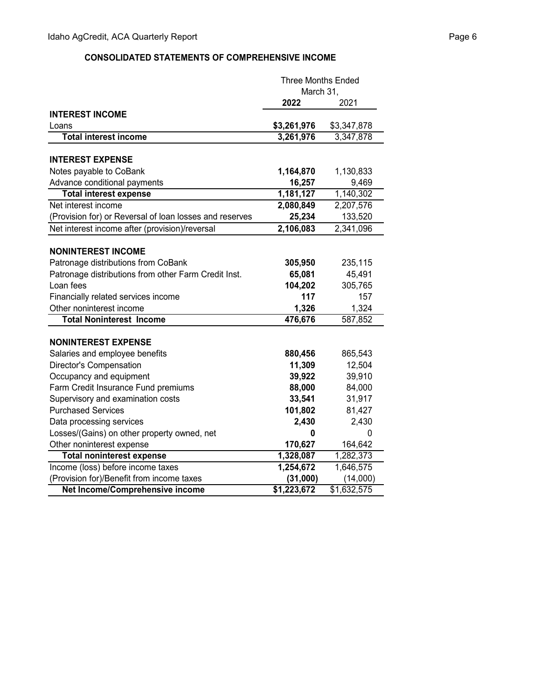# **CONSOLIDATED STATEMENTS OF COMPREHENSIVE INCOME**

|                                                         | <b>Three Months Ended</b> |             |
|---------------------------------------------------------|---------------------------|-------------|
|                                                         | March 31,                 |             |
|                                                         | 2022                      | 2021        |
| <b>INTEREST INCOME</b>                                  |                           |             |
| Loans                                                   | \$3,261,976               | \$3,347,878 |
| <b>Total interest income</b>                            | 3,261,976                 | 3,347,878   |
|                                                         |                           |             |
| <b>INTEREST EXPENSE</b>                                 |                           |             |
| Notes payable to CoBank                                 | 1,164,870                 | 1,130,833   |
| Advance conditional payments                            | 16,257                    | 9,469       |
| <b>Total interest expense</b>                           | 1,181,127                 | 1,140,302   |
| Net interest income                                     | 2,080,849                 | 2,207,576   |
| (Provision for) or Reversal of loan losses and reserves | 25,234                    | 133,520     |
| Net interest income after (provision)/reversal          | 2,106,083                 | 2,341,096   |
|                                                         |                           |             |
| <b>NONINTEREST INCOME</b>                               |                           |             |
| Patronage distributions from CoBank                     | 305,950                   | 235,115     |
| Patronage distributions from other Farm Credit Inst.    | 65,081                    | 45,491      |
| Loan fees                                               | 104,202                   | 305,765     |
| Financially related services income                     | 117                       | 157         |
| Other noninterest income                                | 1,326                     | 1,324       |
| <b>Total Noninterest Income</b>                         | 476,676                   | 587,852     |
|                                                         |                           |             |
| <b>NONINTEREST EXPENSE</b>                              |                           |             |
| Salaries and employee benefits                          | 880,456                   | 865,543     |
| <b>Director's Compensation</b>                          | 11,309                    | 12,504      |
| Occupancy and equipment                                 | 39,922                    | 39,910      |
| Farm Credit Insurance Fund premiums                     | 88,000                    | 84,000      |
| Supervisory and examination costs                       | 33,541                    | 31,917      |
| <b>Purchased Services</b>                               | 101,802                   | 81,427      |
| Data processing services                                | 2,430                     | 2,430       |
| Losses/(Gains) on other property owned, net             | 0                         | 0           |
| Other noninterest expense                               | 170,627                   | 164,642     |
| <b>Total noninterest expense</b>                        | 1,328,087                 | 1,282,373   |
| Income (loss) before income taxes                       | 1,254,672                 | 1,646,575   |
| (Provision for)/Benefit from income taxes               | (31,000)                  | (14,000)    |
| Net Income/Comprehensive income                         | \$1,223,672               | \$1,632,575 |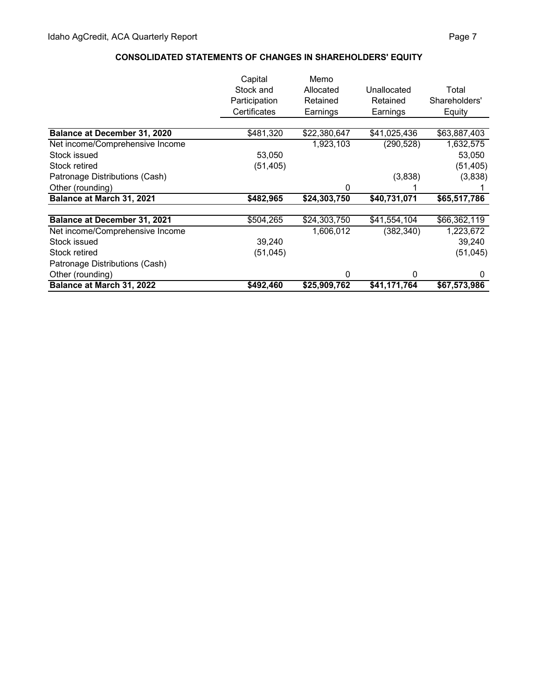# **CONSOLIDATED STATEMENTS OF CHANGES IN SHAREHOLDERS' EQUITY**

|                                 | Capital       | Memo         |              |               |
|---------------------------------|---------------|--------------|--------------|---------------|
|                                 | Stock and     | Allocated    | Unallocated  | Total         |
|                                 | Participation | Retained     | Retained     | Shareholders' |
|                                 | Certificates  | Earnings     | Earnings     | Equity        |
|                                 |               |              |              |               |
| Balance at December 31, 2020    | \$481,320     | \$22,380,647 | \$41,025,436 | \$63,887,403  |
| Net income/Comprehensive Income |               | 1,923,103    | (290, 528)   | 1,632,575     |
| Stock issued                    | 53,050        |              |              | 53,050        |
| Stock retired                   | (51, 405)     |              |              | (51, 405)     |
| Patronage Distributions (Cash)  |               |              | (3,838)      | (3,838)       |
| Other (rounding)                |               | 0            |              |               |
| Balance at March 31, 2021       | \$482,965     | \$24,303,750 | \$40,731,071 | \$65,517,786  |
| Balance at December 31, 2021    | \$504,265     | \$24,303,750 | \$41,554,104 | \$66,362,119  |
| Net income/Comprehensive Income |               | 1,606,012    | (382, 340)   | 1,223,672     |
| Stock issued                    | 39,240        |              |              | 39,240        |
| Stock retired                   | (51, 045)     |              |              | (51, 045)     |
| Patronage Distributions (Cash)  |               |              |              |               |
| Other (rounding)                |               | 0            | 0            | 0             |
| Balance at March 31, 2022       | \$492,460     | \$25,909,762 | \$41,171,764 | \$67,573,986  |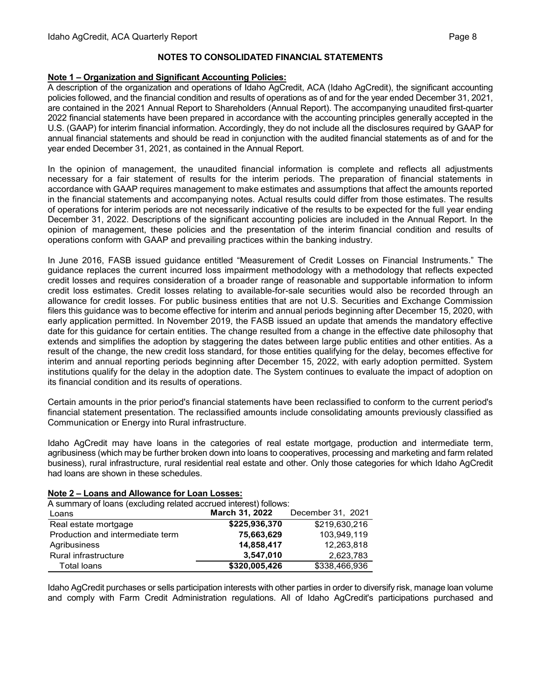# **NOTES TO CONSOLIDATED FINANCIAL STATEMENTS**

# **Note 1 – Organization and Significant Accounting Policies:**

A description of the organization and operations of Idaho AgCredit, ACA (Idaho AgCredit), the significant accounting policies followed, and the financial condition and results of operations as of and for the year ended December 31, 2021, are contained in the 2021 Annual Report to Shareholders (Annual Report). The accompanying unaudited first-quarter 2022 financial statements have been prepared in accordance with the accounting principles generally accepted in the U.S. (GAAP) for interim financial information. Accordingly, they do not include all the disclosures required by GAAP for annual financial statements and should be read in conjunction with the audited financial statements as of and for the year ended December 31, 2021, as contained in the Annual Report.

In the opinion of management, the unaudited financial information is complete and reflects all adjustments necessary for a fair statement of results for the interim periods. The preparation of financial statements in accordance with GAAP requires management to make estimates and assumptions that affect the amounts reported in the financial statements and accompanying notes. Actual results could differ from those estimates. The results of operations for interim periods are not necessarily indicative of the results to be expected for the full year ending December 31, 2022. Descriptions of the significant accounting policies are included in the Annual Report. In the opinion of management, these policies and the presentation of the interim financial condition and results of operations conform with GAAP and prevailing practices within the banking industry.

In June 2016, FASB issued guidance entitled "Measurement of Credit Losses on Financial Instruments." The guidance replaces the current incurred loss impairment methodology with a methodology that reflects expected credit losses and requires consideration of a broader range of reasonable and supportable information to inform credit loss estimates. Credit losses relating to available-for-sale securities would also be recorded through an allowance for credit losses. For public business entities that are not U.S. Securities and Exchange Commission filers this guidance was to become effective for interim and annual periods beginning after December 15, 2020, with early application permitted. In November 2019, the FASB issued an update that amends the mandatory effective date for this guidance for certain entities. The change resulted from a change in the effective date philosophy that extends and simplifies the adoption by staggering the dates between large public entities and other entities. As a result of the change, the new credit loss standard, for those entities qualifying for the delay, becomes effective for interim and annual reporting periods beginning after December 15, 2022, with early adoption permitted. System institutions qualify for the delay in the adoption date. The System continues to evaluate the impact of adoption on its financial condition and its results of operations.

Certain amounts in the prior period's financial statements have been reclassified to conform to the current period's financial statement presentation. The reclassified amounts include consolidating amounts previously classified as Communication or Energy into Rural infrastructure.

Idaho AgCredit may have loans in the categories of real estate mortgage, production and intermediate term, agribusiness (which may be further broken down into loans to cooperatives, processing and marketing and farm related business), rural infrastructure, rural residential real estate and other. Only those categories for which Idaho AgCredit had loans are shown in these schedules.

| A summary of loans (excluding related accrued interest) follows: |                |                   |  |  |
|------------------------------------------------------------------|----------------|-------------------|--|--|
| Loans                                                            | March 31, 2022 | December 31, 2021 |  |  |
| Real estate mortgage                                             | \$225,936,370  | \$219,630,216     |  |  |
| Production and intermediate term                                 | 75,663,629     | 103,949,119       |  |  |
| Agribusiness                                                     | 14,858,417     | 12,263,818        |  |  |
| <b>Rural infrastructure</b>                                      | 3,547,010      | 2,623,783         |  |  |
| Total loans                                                      | \$320,005,426  | \$338,466,936     |  |  |

## **Note 2 – Loans and Allowance for Loan Losses:**

Idaho AgCredit purchases or sells participation interests with other parties in order to diversify risk, manage loan volume and comply with Farm Credit Administration regulations. All of Idaho AgCredit's participations purchased and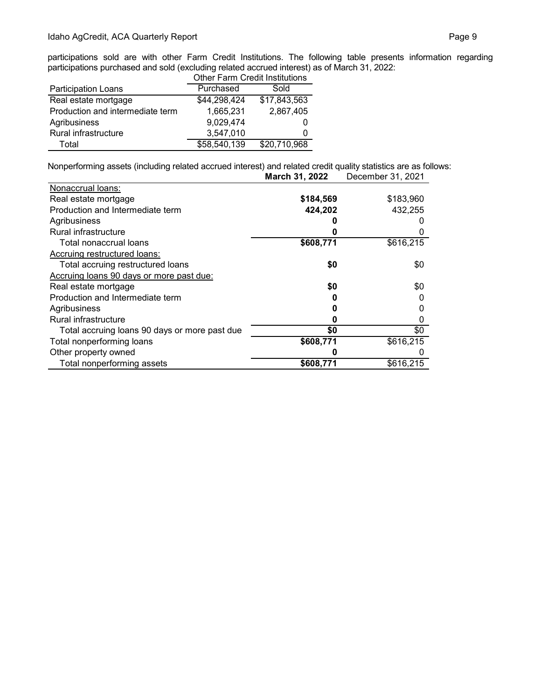participations sold are with other Farm Credit Institutions. The following table presents information regarding participations purchased and sold (excluding related accrued interest) as of March 31, 2022:

|                                  | <b>Other Farm Credit Institutions</b> |              |  |  |
|----------------------------------|---------------------------------------|--------------|--|--|
| Participation Loans              | Purchased                             | Sold         |  |  |
| Real estate mortgage             | \$44,298,424                          | \$17,843,563 |  |  |
| Production and intermediate term | 1,665,231                             | 2,867,405    |  |  |
| Agribusiness                     | 9,029,474                             |              |  |  |
| Rural infrastructure             | 3,547,010                             | 0            |  |  |
| Total                            | \$58,540,139                          | \$20,710,968 |  |  |

Nonperforming assets (including related accrued interest) and related credit quality statistics are as follows: **March 31, 2022** December 31, 2021

| Nonaccrual loans:                             |           |           |
|-----------------------------------------------|-----------|-----------|
| Real estate mortgage                          | \$184,569 | \$183,960 |
| Production and Intermediate term              | 424,202   | 432,255   |
| Agribusiness                                  |           |           |
| Rural infrastructure                          |           |           |
| Total nonaccrual loans                        | \$608,771 | \$616,215 |
| Accruing restructured loans:                  |           |           |
| Total accruing restructured loans             | \$0       | \$0       |
| Accruing loans 90 days or more past due:      |           |           |
| Real estate mortgage                          | \$0       | \$0       |
| Production and Intermediate term              |           |           |
| Agribusiness                                  |           |           |
| Rural infrastructure                          | O         |           |
| Total accruing loans 90 days or more past due | \$0       | \$0       |
| Total nonperforming loans                     | \$608,771 | \$616,215 |
| Other property owned                          |           |           |
| Total nonperforming assets                    | \$608,771 | \$616,215 |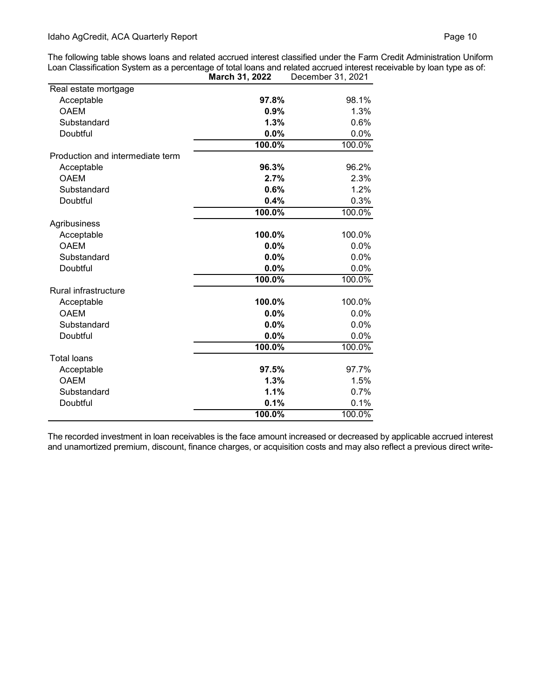The following table shows loans and related accrued interest classified under the Farm Credit Administration Uniform Loan Classification System as a percentage of total loans and related accrued interest receivable by loan type as of:

|                                  | March 31, 2022 | December 31, 2021 |
|----------------------------------|----------------|-------------------|
| Real estate mortgage             |                |                   |
| Acceptable                       | 97.8%          | 98.1%             |
| <b>OAEM</b>                      | 0.9%           | 1.3%              |
| Substandard                      | 1.3%           | 0.6%              |
| Doubtful                         | 0.0%           | 0.0%              |
|                                  | 100.0%         | 100.0%            |
| Production and intermediate term |                |                   |
| Acceptable                       | 96.3%          | 96.2%             |
| <b>OAEM</b>                      | 2.7%           | 2.3%              |
| Substandard                      | 0.6%           | 1.2%              |
| Doubtful                         | 0.4%           | 0.3%              |
|                                  | 100.0%         | 100.0%            |
| Agribusiness                     |                |                   |
| Acceptable                       | 100.0%         | 100.0%            |
| <b>OAEM</b>                      | $0.0\%$        | 0.0%              |
| Substandard                      | 0.0%           | 0.0%              |
| Doubtful                         | 0.0%           | 0.0%              |
|                                  | 100.0%         | 100.0%            |
| Rural infrastructure             |                |                   |
| Acceptable                       | 100.0%         | 100.0%            |
| <b>OAEM</b>                      | 0.0%           | 0.0%              |
| Substandard                      | 0.0%           | 0.0%              |
| Doubtful                         | 0.0%           | 0.0%              |
|                                  | 100.0%         | 100.0%            |
| <b>Total loans</b>               |                |                   |
| Acceptable                       | 97.5%          | 97.7%             |
| <b>OAEM</b>                      | 1.3%           | 1.5%              |
| Substandard                      | 1.1%           | 0.7%              |
| Doubtful                         | 0.1%           | 0.1%              |
|                                  | 100.0%         | 100.0%            |

The recorded investment in loan receivables is the face amount increased or decreased by applicable accrued interest and unamortized premium, discount, finance charges, or acquisition costs and may also reflect a previous direct write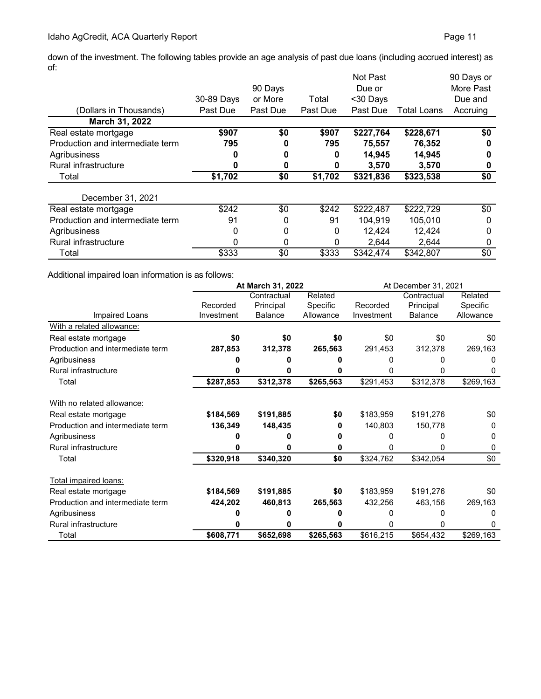down of the investment. The following tables provide an age analysis of past due loans (including accrued interest) as of:

|                                  |            |          |          | Not Past  |             | 90 Days or  |
|----------------------------------|------------|----------|----------|-----------|-------------|-------------|
|                                  |            | 90 Days  |          | Due or    |             | More Past   |
|                                  | 30-89 Days | or More  | Total    | <30 Days  |             | Due and     |
| (Dollars in Thousands)           | Past Due   | Past Due | Past Due | Past Due  | Total Loans | Accruing    |
| March 31, 2022                   |            |          |          |           |             |             |
| Real estate mortgage             | \$907      | \$0      | \$907    | \$227,764 | \$228,671   | \$0         |
| Production and intermediate term | 795        | 0        | 795      | 75,557    | 76,352      | 0           |
| Agribusiness                     |            | 0        | 0        | 14,945    | 14,945      | 0           |
| <b>Rural infrastructure</b>      |            | 0        | 0        | 3,570     | 3,570       | 0           |
| Total                            | \$1,702    | \$0      | \$1,702  | \$321,836 | \$323,538   | \$0         |
| December 31, 2021                |            |          |          |           |             |             |
| Real estate mortgage             | \$242      | \$0      | \$242    | \$222,487 | \$222,729   | \$0         |
| Production and intermediate term | 91         | 0        | 91       | 104,919   | 105,010     | 0           |
| Agribusiness                     | 0          | 0        | 0        | 12,424    | 12,424      | $\mathbf 0$ |
| Rural infrastructure             | 0          | 0        | 0        | 2,644     | 2,644       | 0           |
| Total                            | \$333      | \$0      | \$333    | \$342,474 | \$342,807   | \$0         |

Additional impaired loan information is as follows:

|                                  | At March 31, 2022 |                |           | At December 31, 2021 |                |              |
|----------------------------------|-------------------|----------------|-----------|----------------------|----------------|--------------|
|                                  |                   | Contractual    | Related   |                      | Contractual    | Related      |
|                                  | Recorded          | Principal      | Specific  | Recorded             | Principal      | Specific     |
| Impaired Loans                   | Investment        | <b>Balance</b> | Allowance | Investment           | <b>Balance</b> | Allowance    |
| With a related allowance:        |                   |                |           |                      |                |              |
| Real estate mortgage             | \$0               | \$0            | \$0       | \$0                  | \$0            | \$0          |
| Production and intermediate term | 287,853           | 312,378        | 265,563   | 291,453              | 312,378        | 269,163      |
| Agribusiness                     |                   |                |           |                      | n              |              |
| Rural infrastructure             |                   |                |           |                      | n              |              |
| Total                            | \$287,853         | \$312,378      | \$265,563 | \$291,453            | \$312,378      | \$269,163    |
| With no related allowance:       |                   |                |           |                      |                |              |
| Real estate mortgage             | \$184,569         | \$191,885      | \$0       | \$183,959            | \$191,276      | \$0          |
| Production and intermediate term | 136,349           | 148,435        | 0         | 140,803              | 150,778        | 0            |
| Agribusiness                     |                   |                |           |                      |                | <sup>0</sup> |
| Rural infrastructure             |                   | n              | 0         | 0                    | 0              | 0            |
| Total                            | \$320,918         | \$340,320      | \$0       | \$324,762            | \$342,054      | \$0          |
| Total impaired loans:            |                   |                |           |                      |                |              |
| Real estate mortgage             | \$184,569         | \$191,885      | \$0       | \$183,959            | \$191,276      | \$0          |
| Production and intermediate term | 424,202           | 460,813        | 265,563   | 432,256              | 463,156        | 269,163      |
| Agribusiness                     |                   |                |           |                      | O              | 0            |
| Rural infrastructure             |                   |                |           | <sup>0</sup>         | 0              | 0            |
| Total                            | \$608,771         | \$652,698      | \$265,563 | \$616,215            | \$654,432      | \$269,163    |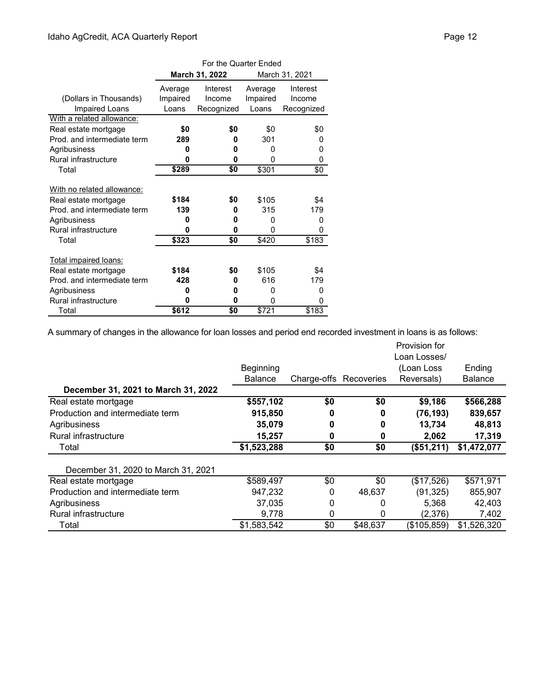|                                             | For the Quarter Ended |                |                |            |  |
|---------------------------------------------|-----------------------|----------------|----------------|------------|--|
|                                             |                       | March 31, 2022 | March 31, 2021 |            |  |
|                                             | Average               | Interest       | Average        | Interest   |  |
| (Dollars in Thousands)                      | Impaired              | Income         | Impaired       | Income     |  |
| Impaired Loans                              | Loans                 | Recognized     | Loans          | Recognized |  |
| With a related allowance:                   |                       |                |                |            |  |
| Real estate mortgage                        | \$0                   | \$0            | \$0            | \$0        |  |
| Prod, and intermediate term                 | 289                   | 0              | 301            | 0          |  |
| Agribusiness                                | O                     | 0              | 0              | 0          |  |
| <b>Rural infrastructure</b>                 | 0                     | 0              | 0              | 0          |  |
| Total                                       | \$289                 | \$0            | \$301          | \$0        |  |
|                                             |                       |                |                |            |  |
| With no related allowance:                  |                       |                |                |            |  |
| Real estate mortgage                        | \$184                 | \$0            | \$105          | \$4        |  |
| Prod, and intermediate term                 | 139                   | 0<br>0         | 315            | 179        |  |
| Agribusiness                                | n                     | O              | 0              |            |  |
| <b>Rural infrastructure</b>                 | 0<br>0                |                | 0              | 0          |  |
| Total                                       | \$323                 | \$0            | \$420          | \$183      |  |
| Total impaired loans:                       |                       |                |                |            |  |
| Real estate mortgage                        | \$184                 | \$0            | \$105          | \$4        |  |
| Prod, and intermediate term                 | 428                   | 0              | 616            | 179        |  |
|                                             | n                     | 0              | O              | 0          |  |
| Agribusiness<br><b>Rural infrastructure</b> | 0                     | 0              |                | 0          |  |
|                                             | 0                     |                |                |            |  |
| Total                                       | \$612                 | \$0            | \$721          | \$183      |  |

A summary of changes in the allowance for loan losses and period end recorded investment in loans is as follows:

|                                     |                |                        |          | Provision for |                |
|-------------------------------------|----------------|------------------------|----------|---------------|----------------|
|                                     |                |                        |          | Loan Losses/  |                |
|                                     | Beginning      |                        |          | (Loan Loss    | Ending         |
|                                     | <b>Balance</b> | Charge-offs Recoveries |          | Reversals)    | <b>Balance</b> |
| December 31, 2021 to March 31, 2022 |                |                        |          |               |                |
| Real estate mortgage                | \$557,102      | \$0                    | \$0      | \$9,186       | \$566,288      |
| Production and intermediate term    | 915,850        | 0                      | 0        | (76, 193)     | 839,657        |
| Agribusiness                        | 35,079         | 0                      | 0        | 13,734        | 48,813         |
| Rural infrastructure                | 15,257         | 0                      | 0        | 2,062         | 17,319         |
| Total                               | \$1,523,288    | \$0                    | \$0      | (\$51,211)    | \$1,472,077    |
|                                     |                |                        |          |               |                |
| December 31, 2020 to March 31, 2021 |                |                        |          |               |                |
| Real estate mortgage                | \$589,497      | \$0                    | \$0      | (\$17,526)    | \$571,971      |
| Production and intermediate term    | 947,232        | 0                      | 48,637   | (91, 325)     | 855,907        |
| Agribusiness                        | 37,035         | 0                      | 0        | 5,368         | 42,403         |
| Rural infrastructure                | 9,778          | 0                      | 0        | (2,376)       | 7,402          |
| Total                               | \$1,583,542    | \$0                    | \$48,637 | (\$105,859)   | \$1,526,320    |